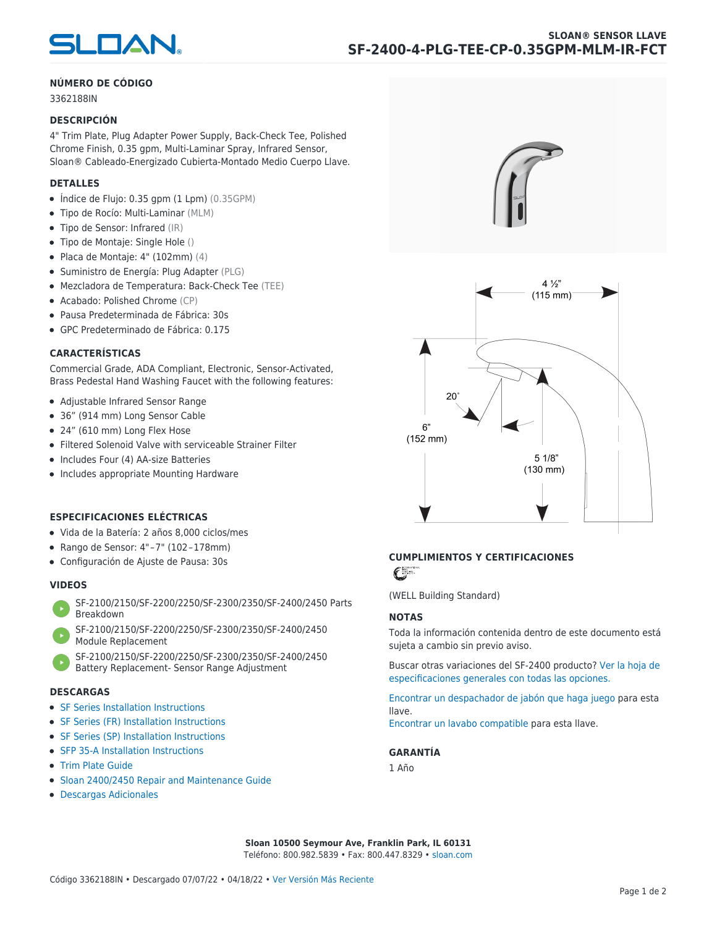

# **NÚMERO DE CÓDIGO**

3362188IN

#### **DESCRIPCIÓN**

4" Trim Plate, Plug Adapter Power Supply, Back-Check Tee, Polished Chrome Finish, 0.35 gpm, Multi-Laminar Spray, Infrared Sensor, Sloan® Cableado-Energizado Cubierta-Montado Medio Cuerpo Llave.

#### **DETALLES**

- $\bullet$  Índice de Flujo: 0.35 gpm (1 Lpm) (0.35GPM)
- Tipo de Rocío: Multi-Laminar (MLM)
- Tipo de Sensor: Infrared (IR)
- Tipo de Montaje: Single Hole ()
- $\bullet$  Placa de Montaje: 4" (102mm) (4)
- Suministro de Energía: Plug Adapter (PLG)
- Mezcladora de Temperatura: Back-Check Tee (TEE)
- Acabado: Polished Chrome (CP)
- Pausa Predeterminada de Fábrica: 30s
- GPC Predeterminado de Fábrica: 0.175

#### **CARACTERÍSTICAS**

Commercial Grade, ADA Compliant, Electronic, Sensor-Activated, Brass Pedestal Hand Washing Faucet with the following features:

- Adjustable Infrared Sensor Range
- 36" (914 mm) Long Sensor Cable
- 24" (610 mm) Long Flex Hose
- Filtered Solenoid Valve with serviceable Strainer Filter
- Includes Four (4) AA-size Batteries
- Includes appropriate Mounting Hardware

# **ESPECIFICACIONES ELÉCTRICAS**

- Vida de la Batería: 2 años 8,000 ciclos/mes
- Rango de Sensor: 4" – 7" (102 – 178mm)
- Configuración de Ajuste de Pausa: 30s

### **VIDEOS**

- [SF-2100/2150/SF-2200/2250/SF-2300/2350/SF-2400/2450 Parts](https://vimeo.com/307089947) [Breakdown](https://vimeo.com/307089947)
- [SF-2100/2150/SF-2200/2250/SF-2300/2350/SF-2400/2450](https://vimeo.com/307087494) [Module Replacement](https://vimeo.com/307087494)
- [SF-2100/2150/SF-2200/2250/SF-2300/2350/SF-2400/2450](https://vimeo.com/307085279) [Battery Replacement- Sensor Range Adjustment](https://vimeo.com/307085279)

#### **DESCARGAS**

- [SF Series Installation Instructions](https://www.sloan.com/sites/default/files/2018-02/II0816496Rev5_0.pdf)
- [SF Series \(FR\) Installation Instructions](https://www.sloan.com/sites/default/files/2015-12/0816563-fr.pdf)
- [SF Series \(SP\) Installation Instructions](https://www.sloan.com/sites/default/files/2022-03/0816568SP_Rev2.pdf)
- [SFP 35-A Installation Instructions](https://www.sloan.com/sites/default/files/2015-12/0816817.pdf)
- [Trim Plate Guide](https://www.sloan.com/sites/default/files/2020-03/Trim_PlatesAllFaucets.pdf)
- [Sloan 2400/2450 Repair and Maintenance Guide](https://www.sloan.com/sites/default/files/2022-06/Sloan-SF-2400-2450.pdf)
- [Descargas Adicionales](https://www.sloan.com/commercial-bathroom-products/faucets/sloan/sf-2400)





# **CUMPLIMIENTOS Y CERTIFICACIONES**

C

(WELL Building Standard)

#### **NOTAS**

Toda la información contenida dentro de este documento está sujeta a cambio sin previo aviso.

[Buscar otras variaciones del SF-2400 producto? Ver la hoja de](https://www.sloan.com/es/general-spec/311) [especificaciones generales con todas las opciones.](https://www.sloan.com/es/general-spec/311)

[Encontrar un despachador de jabón que haga juego](https://www.sloan.com/es/commercial-bathroom-products/soap-dispensers) para esta llave.

[Encontrar un lavabo compatible](https://www.sloan.com/es/commercial-bathroom-products/sinks) para esta llave.

# **GARANTÍA**

1 Año

**Sloan 10500 Seymour Ave, Franklin Park, IL 60131** Teléfono: 800.982.5839 • Fax: 800.447.8329 • [sloan.com](https://www.sloan.com)